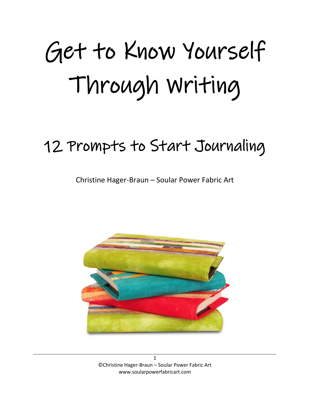## Get to Know Yourself Through Writing

## 12 Prompts to Start Journaling

Christine Hager-Braun – Soular Power Fabric Art

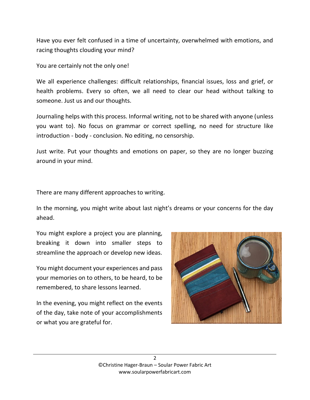Have you ever felt confused in a time of uncertainty, overwhelmed with emotions, and racing thoughts clouding your mind?

You are certainly not the only one!

We all experience challenges: difficult relationships, financial issues, loss and grief, or health problems. Every so often, we all need to clear our head without talking to someone. Just us and our thoughts.

Journaling helps with this process. Informal writing, not to be shared with anyone (unless you want to). No focus on grammar or correct spelling, no need for structure like introduction - body - conclusion. No editing, no censorship.

Just write. Put your thoughts and emotions on paper, so they are no longer buzzing around in your mind.

There are many different approaches to writing.

In the morning, you might write about last night's dreams or your concerns for the day ahead.

You might explore a project you are planning, breaking it down into smaller steps to streamline the approach or develop new ideas.

You might document your experiences and pass your memories on to others, to be heard, to be remembered, to share lessons learned.

In the evening, you might reflect on the events of the day, take note of your accomplishments or what you are grateful for.

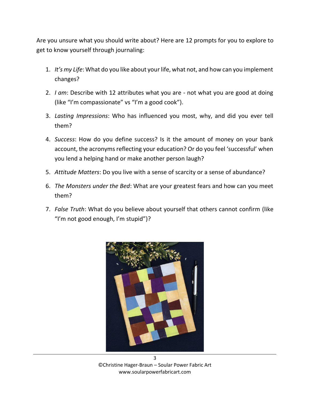Are you unsure what you should write about? Here are 12 prompts for you to explore to get to know yourself through journaling:

- 1. *It's my Life*: What do you like about your life, what not, and how can you implement changes?
- 2. *I am*: Describe with 12 attributes what you are not what you are good at doing (like "I'm compassionate" vs "I'm a good cook").
- 3. *Lasting Impressions*: Who has influenced you most, why, and did you ever tell them?
- 4. *Success*: How do you define success? Is it the amount of money on your bank account, the acronyms reflecting your education? Or do you feel 'successful' when you lend a helping hand or make another person laugh?
- 5. *Attitude Matters*: Do you live with a sense of scarcity or a sense of abundance?
- 6. *The Monsters under the Bed*: What are your greatest fears and how can you meet them?
- 7. *False Truth*: What do you believe about yourself that others cannot confirm (like "I'm not good enough, I'm stupid")?



©Christine Hager-Braun – Soular Power Fabric Art www.soularpowerfabricart.com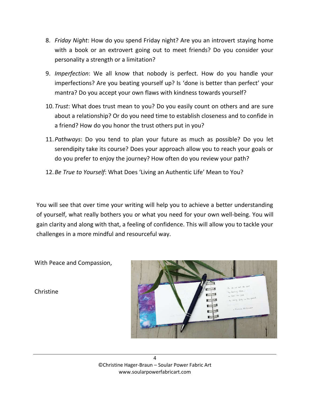- 8. *Friday Night*: How do you spend Friday night? Are you an introvert staying home with a book or an extrovert going out to meet friends? Do you consider your personality a strength or a limitation?
- 9. *Imperfection*: We all know that nobody is perfect. How do you handle your imperfections? Are you beating yourself up? Is 'done is better than perfect' your mantra? Do you accept your own flaws with kindness towards yourself?
- 10.*Trust*: What does trust mean to you? Do you easily count on others and are sure about a relationship? Or do you need time to establish closeness and to confide in a friend? How do you honor the trust others put in you?
- 11.*Pathways*: Do you tend to plan your future as much as possible? Do you let serendipity take its course? Does your approach allow you to reach your goals or do you prefer to enjoy the journey? How often do you review your path?
- 12.*Be True to Yourself*: What Does 'Living an Authentic Life' Mean to You?

You will see that over time your writing will help you to achieve a better understanding of yourself, what really bothers you or what you need for your own well-being. You will gain clarity and along with that, a feeling of confidence. This will allow you to tackle your challenges in a more mindful and resourceful way.

With Peace and Compassion,

Christine